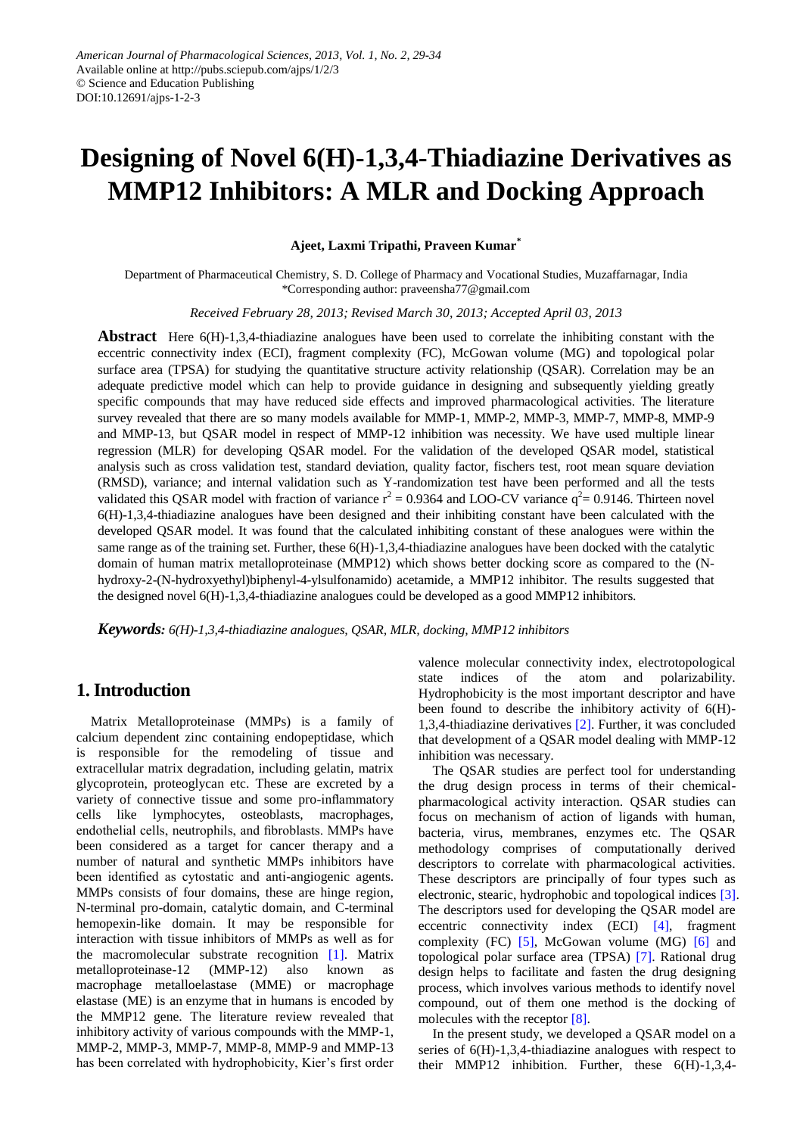# **Designing of Novel 6(H)-1,3,4-Thiadiazine Derivatives as MMP12 Inhibitors: A MLR and Docking Approach**

**Ajeet, Laxmi Tripathi, Praveen Kumar\***

Department of Pharmaceutical Chemistry, S. D. College of Pharmacy and Vocational Studies, Muzaffarnagar, India \*Corresponding author: praveensha77@gmail.com

*Received February 28, 2013; Revised March 30, 2013; Accepted April 03, 2013*

**Abstract** Here 6(H)-1,3,4-thiadiazine analogues have been used to correlate the inhibiting constant with the eccentric connectivity index (ECI), fragment complexity (FC), McGowan volume (MG) and topological polar surface area (TPSA) for studying the quantitative structure activity relationship (QSAR). Correlation may be an adequate predictive model which can help to provide guidance in designing and subsequently yielding greatly specific compounds that may have reduced side effects and improved pharmacological activities. The literature survey revealed that there are so many models available for MMP-1, MMP-2, MMP-3, MMP-7, MMP-8, MMP-9 and MMP-13, but QSAR model in respect of MMP-12 inhibition was necessity. We have used multiple linear regression (MLR) for developing QSAR model. For the validation of the developed QSAR model, statistical analysis such as cross validation test, standard deviation, quality factor, fischers test, root mean square deviation (RMSD), variance; and internal validation such as Y-randomization test have been performed and all the tests validated this QSAR model with fraction of variance  $r^2 = 0.9364$  and LOO-CV variance  $q^2 = 0.9146$ . Thirteen novel 6(H)-1,3,4-thiadiazine analogues have been designed and their inhibiting constant have been calculated with the developed QSAR model. It was found that the calculated inhibiting constant of these analogues were within the same range as of the training set. Further, these 6(H)-1,3,4-thiadiazine analogues have been docked with the catalytic domain of human matrix metalloproteinase (MMP12) which shows better docking score as compared to the (Nhydroxy-2-(N-hydroxyethyl)biphenyl-4-ylsulfonamido) acetamide, a MMP12 inhibitor. The results suggested that the designed novel 6(H)-1,3,4-thiadiazine analogues could be developed as a good MMP12 inhibitors.

*Keywords: 6(H)-1,3,4-thiadiazine analogues, QSAR, MLR, docking, MMP12 inhibitors*

# **1. Introduction**

Matrix Metalloproteinase (MMPs) is a family of calcium dependent zinc containing endopeptidase, which is responsible for the remodeling of tissue and extracellular matrix degradation, including gelatin, matrix glycoprotein, proteoglycan etc. These are excreted by a variety of connective tissue and some pro-inflammatory cells like lymphocytes, osteoblasts, macrophages, endothelial cells, neutrophils, and fibroblasts. MMPs have been considered as a target for cancer therapy and a number of natural and synthetic MMPs inhibitors have been identified as cytostatic and anti-angiogenic agents. MMPs consists of four domains, these are hinge region, N-terminal pro-domain, catalytic domain, and C-terminal hemopexin-like domain. It may be responsible for interaction with tissue inhibitors of MMPs as well as for the macromolecular substrate recognition [\[1\].](#page-5-0) Matrix metalloproteinase-12 (MMP-12) also known as macrophage metalloelastase (MME) or macrophage elastase (ME) is an enzyme that in humans is encoded by the MMP12 gene. The literature review revealed that inhibitory activity of various compounds with the MMP-1, MMP-2, MMP-3, MMP-7, MMP-8, MMP-9 and MMP-13 has been correlated with hydrophobicity, Kier's first order

valence molecular connectivity index, electrotopological state indices of the atom and polarizability. Hydrophobicity is the most important descriptor and have been found to describe the inhibitory activity of 6(H)- 1,3,4-thiadiazine derivatives [\[2\].](#page-5-1) Further, it was concluded that development of a QSAR model dealing with MMP-12 inhibition was necessary.

The QSAR studies are perfect tool for understanding the drug design process in terms of their chemicalpharmacological activity interaction. QSAR studies can focus on mechanism of action of ligands with human, bacteria, virus, membranes, enzymes etc. The QSAR methodology comprises of computationally derived descriptors to correlate with pharmacological activities. These descriptors are principally of four types such as electronic, stearic, hydrophobic and topological indices [\[3\].](#page-5-2) The descriptors used for developing the QSAR model are eccentric connectivity index (ECI) [\[4\],](#page-5-3) fragment complexity  $(FC)$  [\[5\],](#page-5-4) McGowan volume  $(MG)$  [\[6\]](#page-5-5) and topological polar surface area (TPSA) [\[7\].](#page-5-6) Rational drug design helps to facilitate and fasten the drug designing process, which involves various methods to identify novel compound, out of them one method is the docking of molecules with the receptor [\[8\].](#page-5-7)

In the present study, we developed a QSAR model on a series of 6(H)-1,3,4-thiadiazine analogues with respect to their MMP12 inhibition. Further, these 6(H)-1,3,4-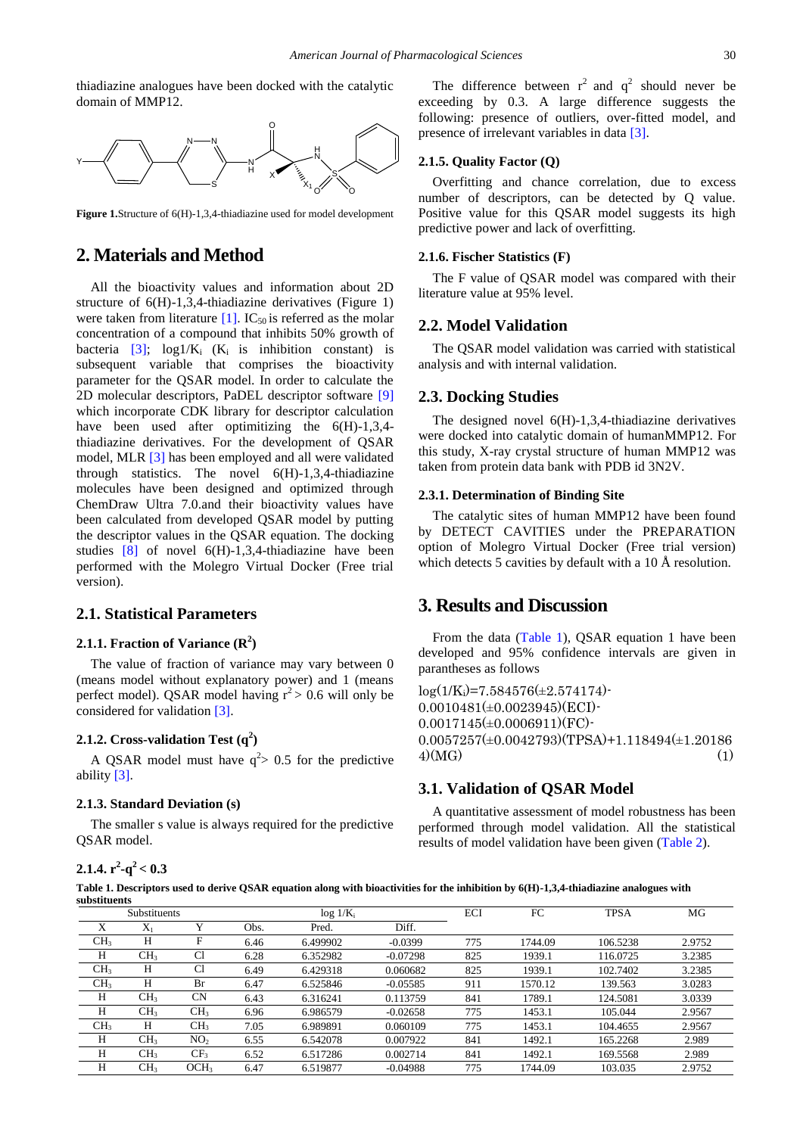thiadiazine analogues have been docked with the catalytic domain of MMP12.



**Figure 1.**Structure of 6(H)-1,3,4-thiadiazine used for model development

# **2. Materials and Method**

All the bioactivity values and information about 2D structure of 6(H)-1,3,4-thiadiazine derivatives (Figure 1) were taken from literature  $[1]$ . IC<sub>50</sub> is referred as the molar concentration of a compound that inhibits 50% growth of bacteria  $[3]$ ;  $\log 1/K_i$  (K<sub>i</sub> is inhibition constant) is subsequent variable that comprises the bioactivity parameter for the QSAR model. In order to calculate the 2D molecular descriptors, PaDEL descriptor software [\[9\]](#page-5-8) which incorporate CDK library for descriptor calculation have been used after optimitizing the  $6(H)-1,3,4$ thiadiazine derivatives. For the development of QSAR model, MLR [\[3\]](#page-5-2) has been employed and all were validated through statistics. The novel 6(H)-1,3,4-thiadiazine molecules have been designed and optimized through ChemDraw Ultra 7.0.and their bioactivity values have been calculated from developed QSAR model by putting the descriptor values in the QSAR equation. The docking studies  $[8]$  of novel  $6(H)-1,3,4$ -thiadiazine have been performed with the Molegro Virtual Docker (Free trial version).

## **2.1. Statistical Parameters**

## **2.1.1. Fraction of Variance (R<sup>2</sup> )**

The value of fraction of variance may vary between 0 (means model without explanatory power) and 1 (means perfect model). QSAR model having  $r^2 > 0.6$  will only be considered for validation [\[3\].](#page-5-2)

## **2.1.2. Cross-validation Test (q<sup>2</sup> )**

A QSAR model must have  $q^2$  > 0.5 for the predictive ability [\[3\].](#page-5-2) 

#### **2.1.3. Standard Deviation (s)**

The smaller s value is always required for the predictive QSAR model.

The difference between  $r^2$  and  $q^2$  should never be exceeding by 0.3. A large difference suggests the following: presence of outliers, over-fitted model, and presence of irrelevant variables in data [\[3\].](#page-5-2)

#### **2.1.5. Quality Factor (Q)**

Overfitting and chance correlation, due to excess number of descriptors, can be detected by Q value. Positive value for this QSAR model suggests its high predictive power and lack of overfitting.

#### **2.1.6. Fischer Statistics (F)**

The F value of QSAR model was compared with their literature value at 95% level.

#### **2.2. Model Validation**

The QSAR model validation was carried with statistical analysis and with internal validation.

#### **2.3. Docking Studies**

The designed novel 6(H)-1,3,4-thiadiazine derivatives were docked into catalytic domain of humanMMP12. For this study, X-ray crystal structure of human MMP12 was taken from protein data bank with PDB id 3N2V.

### **2.3.1. Determination of Binding Site**

The catalytic sites of human MMP12 have been found by DETECT CAVITIES under the PREPARATION option of Molegro Virtual Docker (Free trial version) which detects 5 cavities by default with a 10 Å resolution.

## **3. Results and Discussion**

From the data [\(Table 1\)](#page-1-0), QSAR equation 1 have been developed and 95% confidence intervals are given in parantheses as follows

 $log(1/K_i)=7.584576(\pm 2.574174)$  $0.0010481(\pm 0.0023945)(ECI)$  $0.0017145(\pm 0.0006911)(FC)$ 0.0057257(±0.0042793)(TPSA)+1.118494(±1.20186  $4)(\text{MG})$  (1)

# **3.1. Validation of QSAR Model**

A quantitative assessment of model robustness has been performed through model validation. All the statistical results of model validation have been given [\(Table 2\)](#page-2-0).

**2.1.4.**  $r^2 - q^2 < 0.3$ 

**Table 1. Descriptors used to derive QSAR equation along with bioactivities for the inhibition by 6(H)-1,3,4-thiadiazine analogues with substituents**

<span id="page-1-0"></span>

| Substituents    |                 |                  | $\log 1/K_i$ |          |            | ECI | FC      | <b>TPSA</b> | MG     |
|-----------------|-----------------|------------------|--------------|----------|------------|-----|---------|-------------|--------|
| X               | $X_1$           |                  | Obs.         | Pred.    | Diff.      |     |         |             |        |
| CH <sub>3</sub> | H               |                  | 6.46         | 6.499902 | $-0.0399$  | 775 | 1744.09 | 106.5238    | 2.9752 |
| H               | CH <sub>3</sub> | C1               | 6.28         | 6.352982 | $-0.07298$ | 825 | 1939.1  | 116.0725    | 3.2385 |
| CH <sub>3</sub> | Н               | C1               | 6.49         | 6.429318 | 0.060682   | 825 | 1939.1  | 102.7402    | 3.2385 |
| CH <sub>3</sub> | H               | Br               | 6.47         | 6.525846 | $-0.05585$ | 911 | 1570.12 | 139.563     | 3.0283 |
| H               | CH <sub>3</sub> | <b>CN</b>        | 6.43         | 6.316241 | 0.113759   | 841 | 1789.1  | 124.5081    | 3.0339 |
| H               | CH <sub>3</sub> | CH <sub>3</sub>  | 6.96         | 6.986579 | $-0.02658$ | 775 | 1453.1  | 105.044     | 2.9567 |
| CH <sub>3</sub> | Н               | CH <sub>3</sub>  | 7.05         | 6.989891 | 0.060109   | 775 | 1453.1  | 104.4655    | 2.9567 |
| H               | CH <sub>3</sub> | NO <sub>2</sub>  | 6.55         | 6.542078 | 0.007922   | 841 | 1492.1  | 165.2268    | 2.989  |
| Н               | CH <sub>3</sub> | CF <sub>3</sub>  | 6.52         | 6.517286 | 0.002714   | 841 | 1492.1  | 169.5568    | 2.989  |
| H               | CH <sub>3</sub> | OCH <sub>3</sub> | 6.47         | 6.519877 | $-0.04988$ | 775 | 1744.09 | 103.035     | 2.9752 |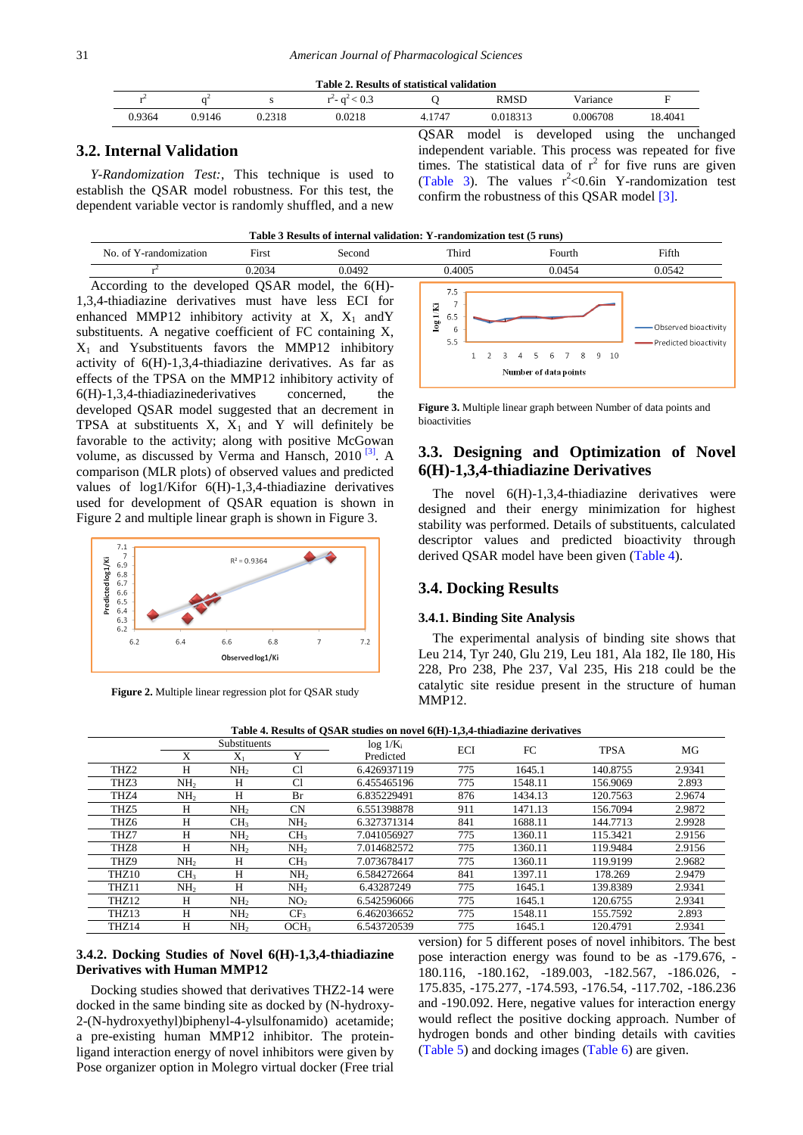<span id="page-2-0"></span>

| Table 2. Results of statistical validation |        |        |        |        |             |          |         |  |  |
|--------------------------------------------|--------|--------|--------|--------|-------------|----------|---------|--|--|
|                                            |        |        |        |        | <b>RMSD</b> | Variance | Е       |  |  |
| 0.9364                                     | 0.9146 | 0.2318 | 0.0218 | 4.1747 | 0.018313    | 0.006708 | 18.4041 |  |  |

## **3.2. Internal Validation**

*Y-Randomization Test:*, This technique is used to establish the QSAR model robustness. For this test, the dependent variable vector is randomly shuffled, and a new

QSAR model is developed using the unchanged independent variable. This process was repeated for five times. The statistical data of  $r^2$  for five runs are given [\(Table 3\)](#page-2-1). The values  $r^2$ <0.6in Y-randomization test confirm the robustness of this QSAR model [\[3\].](#page-5-2)

r 2 According to the developed QSAR model, the 6(H)- 1,3,4-thiadiazine derivatives must have less ECI for enhanced MMP12 inhibitory activity at X,  $X_1$  and Y substituents. A negative coefficient of FC containing X,  $X_1$  and Ysubstituents favors the MMP12 inhibitory activity of 6(H)-1,3,4-thiadiazine derivatives. As far as effects of the TPSA on the MMP12 inhibitory activity of  $6(H)-1,3,4$ -thiadiazinederivatives concerned, the developed QSAR model suggested that an decrement in TPSA at substituents  $X$ ,  $X_1$  and Y will definitely be favorable to the activity; along with positive McGowan volume, as discussed by Verma and Hansch, 2010<sup>[\[3\]](#page-5-2)</sup>. A comparison (MLR plots) of observed values and predicted values of log1/Kifor 6(H)-1,3,4-thiadiazine derivatives used for development of QSAR equation is shown in Figure 2 and multiple linear graph is shown in Figure 3.



**Figure 2.** Multiple linear regression plot for QSAR study

<span id="page-2-1"></span>

**Figure 3.** Multiple linear graph between Number of data points and bioactivities

# **3.3. Designing and Optimization of Novel 6(H)-1,3,4-thiadiazine Derivatives**

The novel 6(H)-1,3,4-thiadiazine derivatives were designed and their energy minimization for highest stability was performed. Details of substituents, calculated descriptor values and predicted bioactivity through derived QSAR model have been given [\(Table 4\)](#page-2-2).

## **3.4. Docking Results**

#### **3.4.1. Binding Site Analysis**

The experimental analysis of binding site shows that Leu 214, Tyr 240, Glu 219, Leu 181, Ala 182, Ile 180, His 228, Pro 238, Phe 237, Val 235, His 218 could be the catalytic site residue present in the structure of human MMP12.

<span id="page-2-2"></span>

| Table 4. Results of QSAR studies on nover $0(\Pi)$ -1,5,4-thiadiazine derivatives |                     |                 |                  |              |            |         |             |        |  |
|-----------------------------------------------------------------------------------|---------------------|-----------------|------------------|--------------|------------|---------|-------------|--------|--|
|                                                                                   | <b>Substituents</b> |                 |                  | $\log 1/K_i$ | <b>ECI</b> | FC      | <b>TPSA</b> | MG     |  |
|                                                                                   | X                   | $X_1$           | Y                | Predicted    |            |         |             |        |  |
| THZ <sub>2</sub>                                                                  | H                   | NH <sub>2</sub> | Cl               | 6.426937119  | 775        | 1645.1  | 140.8755    | 2.9341 |  |
| THZ3                                                                              | NH <sub>2</sub>     | H               | Cl               | 6.455465196  | 775        | 1548.11 | 156.9069    | 2.893  |  |
| THZ4                                                                              | NH <sub>2</sub>     | Н               | Br               | 6.835229491  | 876        | 1434.13 | 120.7563    | 2.9674 |  |
| THZ5                                                                              | Н                   | NH <sub>2</sub> | <b>CN</b>        | 6.551398878  | 911        | 1471.13 | 156.7094    | 2.9872 |  |
| THZ <sub>6</sub>                                                                  | H                   | CH <sub>3</sub> | NH <sub>2</sub>  | 6.327371314  | 841        | 1688.11 | 144.7713    | 2.9928 |  |
| THZ7                                                                              | H                   | NH <sub>2</sub> | CH <sub>3</sub>  | 7.041056927  | 775        | 1360.11 | 115.3421    | 2.9156 |  |
| THZ8                                                                              | H                   | NH <sub>2</sub> | NH <sub>2</sub>  | 7.014682572  | 775        | 1360.11 | 119.9484    | 2.9156 |  |
| THZ9                                                                              | NH <sub>2</sub>     | H               | CH <sub>3</sub>  | 7.073678417  | 775        | 1360.11 | 119.9199    | 2.9682 |  |
| THZ10                                                                             | CH <sub>3</sub>     | H               | NH <sub>2</sub>  | 6.584272664  | 841        | 1397.11 | 178.269     | 2.9479 |  |
| THZ11                                                                             | NH <sub>2</sub>     | H               | NH <sub>2</sub>  | 6.43287249   | 775        | 1645.1  | 139.8389    | 2.9341 |  |
| THZ12                                                                             | H                   | NH <sub>2</sub> | NO <sub>2</sub>  | 6.542596066  | 775        | 1645.1  | 120.6755    | 2.9341 |  |
| THZ13                                                                             | H                   | NH <sub>2</sub> | CF <sub>3</sub>  | 6.462036652  | 775        | 1548.11 | 155.7592    | 2.893  |  |
| THZ14                                                                             | H                   | NH <sub>2</sub> | OCH <sub>3</sub> | 6.543720539  | 775        | 1645.1  | 120.4791    | 2.9341 |  |

**Table 4. Results of QSAR studies on novel 6(H)-1,3,4-thiadiazine derivatives**

#### **3.4.2. Docking Studies of Novel 6(H)-1,3,4-thiadiazine Derivatives with Human MMP12**

Docking studies showed that derivatives THZ2-14 were docked in the same binding site as docked by (N-hydroxy-2-(N-hydroxyethyl)biphenyl-4-ylsulfonamido) acetamide; a pre-existing human MMP12 inhibitor. The proteinligand interaction energy of novel inhibitors were given by Pose organizer option in Molegro virtual docker (Free trial version) for 5 different poses of novel inhibitors. The best pose interaction energy was found to be as -179.676, - 180.116, -180.162, -189.003, -182.567, -186.026, - 175.835, -175.277, -174.593, -176.54, -117.702, -186.236 and -190.092. Here, negative values for interaction energy would reflect the positive docking approach. Number of hydrogen bonds and other binding details with cavities [\(Table 5\)](#page-3-0) and docking images [\(Table 6\)](#page-4-0) are given.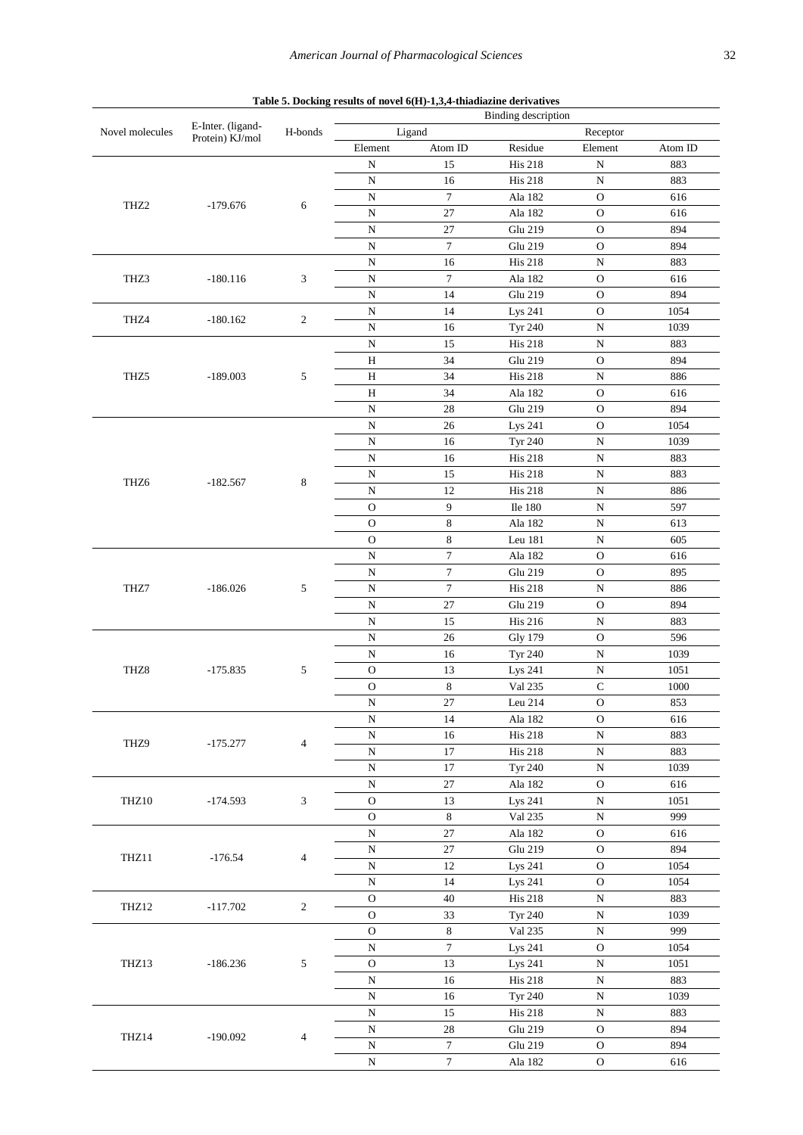<span id="page-3-0"></span>

|                  |                                      |                          | Binding description |                  |                |                    |         |  |  |
|------------------|--------------------------------------|--------------------------|---------------------|------------------|----------------|--------------------|---------|--|--|
| Novel molecules  | E-Inter. (ligand-<br>Protein) KJ/mol | H-bonds                  |                     | Ligand           |                | Receptor           |         |  |  |
|                  |                                      |                          | Element             | Atom ID          | Residue        | Element            | Atom ID |  |  |
|                  |                                      |                          | ${\bf N}$           | 15               | <b>His 218</b> | ${\bf N}$          | 883     |  |  |
|                  |                                      |                          | ${\bf N}$           | 16               | <b>His 218</b> | ${\bf N}$          | 883     |  |  |
|                  |                                      |                          | ${\bf N}$           | $\tau$           | Ala 182        | $\mathbf O$        | 616     |  |  |
| THZ <sub>2</sub> | $-179.676$                           | 6                        |                     |                  |                |                    |         |  |  |
|                  |                                      |                          | ${\bf N}$           | $27\,$           | Ala 182        | $\mathcal O$       | 616     |  |  |
|                  |                                      |                          | ${\bf N}$           | 27               | Glu 219        | $\mathbf O$        | 894     |  |  |
|                  |                                      |                          | ${\bf N}$           | $\boldsymbol{7}$ | Glu 219        | $\mathcal O$       | 894     |  |  |
|                  |                                      |                          | ${\bf N}$           | 16               | <b>His 218</b> | ${\bf N}$          | 883     |  |  |
| THZ3             | $-180.116$                           | 3                        | $\overline{\rm N}$  | $\tau$           | Ala 182        | $\mathbf O$        | 616     |  |  |
|                  |                                      |                          | ${\bf N}$           | 14               | Glu 219        | ${\rm O}$          | 894     |  |  |
|                  |                                      |                          | ${\bf N}$           | 14               | Lys 241        | $\mathbf O$        | 1054    |  |  |
| THZ4             | $-180.162$                           | 2                        | N                   | 16               | <b>Tyr 240</b> | ${\bf N}$          | 1039    |  |  |
|                  |                                      |                          | N                   | 15               | <b>His 218</b> | ${\bf N}$          | 883     |  |  |
|                  |                                      |                          |                     |                  |                |                    |         |  |  |
|                  |                                      |                          | H                   | 34               | Glu 219        | $\mathbf O$        | 894     |  |  |
| THZ5             | $-189.003$                           | 5                        | Н                   | 34               | <b>His 218</b> | ${\bf N}$          | 886     |  |  |
|                  |                                      |                          | $\mathbf H$         | 34               | Ala 182        | $\mathbf O$        | 616     |  |  |
|                  |                                      |                          | ${\bf N}$           | 28               | Glu 219        | $\mathbf O$        | 894     |  |  |
|                  |                                      |                          | ${\bf N}$           | 26               | Lys 241        | ${\rm O}$          | 1054    |  |  |
|                  |                                      |                          | ${\bf N}$           | 16               | <b>Tyr 240</b> | ${\bf N}$          | 1039    |  |  |
|                  |                                      |                          | ${\bf N}$           | 16               | <b>His 218</b> | ${\bf N}$          | 883     |  |  |
|                  |                                      |                          | N                   | 15               | <b>His 218</b> | ${\bf N}$          | 883     |  |  |
| THZ <sub>6</sub> | $-182.567$                           | 8                        | ${\bf N}$           | 12               | <b>His 218</b> | ${\bf N}$          | 886     |  |  |
|                  |                                      |                          |                     |                  |                |                    |         |  |  |
|                  |                                      |                          | $\mathbf O$         | 9                | Ile 180        | ${\bf N}$          | 597     |  |  |
|                  |                                      |                          | $\mathbf O$         | $\,8\,$          | Ala 182        | $\overline{\rm N}$ | 613     |  |  |
|                  |                                      |                          | $\overline{O}$      | $\,8\,$          | Leu 181        | $\rm N$            | 605     |  |  |
|                  | $-186.026$                           |                          | ${\bf N}$           | $\boldsymbol{7}$ | Ala 182        | $\mathbf{O}$       | 616     |  |  |
|                  |                                      | 5                        | ${\bf N}$           | $\tau$           | Glu 219        | $\mathcal O$       | 895     |  |  |
| THZ7             |                                      |                          | ${\bf N}$           | $\boldsymbol{7}$ | <b>His 218</b> | ${\bf N}$          | 886     |  |  |
|                  |                                      |                          | ${\bf N}$           | $27\,$           | Glu 219        | $\mathcal O$       | 894     |  |  |
|                  |                                      |                          | ${\bf N}$           | 15               | <b>His 216</b> | ${\bf N}$          | 883     |  |  |
|                  |                                      |                          | ${\bf N}$           | 26               | <b>Gly 179</b> | ${\rm O}$          | 596     |  |  |
|                  |                                      |                          |                     |                  |                |                    |         |  |  |
|                  |                                      |                          | ${\bf N}$           | 16               | <b>Tyr 240</b> | ${\bf N}$          | 1039    |  |  |
| THZ8             | $-175.835$                           | 5                        | $\mathcal O$        | 13               | Lys 241        | ${\bf N}$          | 1051    |  |  |
|                  |                                      |                          | $\mathcal O$        | $\,$ 8 $\,$      | Val 235        | ${\bf C}$          | 1000    |  |  |
|                  |                                      |                          | ${\bf N}$           | $27\,$           | Leu 214        | ${\rm O}$          | 853     |  |  |
|                  | $-175.277$                           |                          | ${\bf N}$           | 14               | Ala 182        | O                  | 616     |  |  |
|                  |                                      |                          | ${\bf N}$           | 16               | <b>His 218</b> | ${\bf N}$          | 883     |  |  |
| THZ9             |                                      | $\overline{4}$           | ${\bf N}$           | 17               | <b>His 218</b> | ${\bf N}$          | 883     |  |  |
|                  |                                      |                          | ${\bf N}$           | 17               | <b>Tyr 240</b> | ${\bf N}$          | 1039    |  |  |
|                  |                                      |                          | ${\bf N}$           | $27\,$           | Ala 182        | $\mathcal O$       | 616     |  |  |
|                  |                                      |                          |                     |                  |                |                    |         |  |  |
| THZ10            | $-174.593$                           | 3                        | $\mathcal O$        | 13               | Lys 241        | N                  | 1051    |  |  |
|                  |                                      |                          | $\mathcal{O}$       | 8                | Val 235        | N                  | 999     |  |  |
|                  | $-176.54$                            |                          | N                   | 27               | Ala 182        | O                  | 616     |  |  |
| THZ11            |                                      | $\overline{\mathcal{L}}$ | ${\bf N}$           | $27\,$           | Glu 219        | $\mathcal O$       | 894     |  |  |
|                  |                                      |                          | ${\bf N}$           | 12               | Lys 241        | $\mathcal O$       | 1054    |  |  |
|                  |                                      |                          | ${\bf N}$           | 14               | Lys 241        | $\mathcal O$       | 1054    |  |  |
|                  |                                      |                          | $\mathbf O$         | 40               | <b>His 218</b> | N                  | 883     |  |  |
| THZ12            | $-117.702$                           | $\overline{c}$           | $\mathbf{O}$        | 33               | <b>Tyr 240</b> | ${\bf N}$          | 1039    |  |  |
|                  |                                      |                          | $\mathbf O$         | $\,8\,$          | Val 235        | N                  | 999     |  |  |
|                  |                                      |                          | ${\bf N}$           | $\boldsymbol{7}$ | Lys 241        | $\mathcal O$       | 1054    |  |  |
|                  |                                      |                          |                     |                  |                |                    |         |  |  |
| THZ13            | $-186.236$                           | 5                        | ${\rm O}$           | 13               | Lys 241        | ${\bf N}$          | 1051    |  |  |
|                  |                                      |                          | ${\bf N}$           | 16               | <b>His 218</b> | ${\bf N}$          | 883     |  |  |
|                  |                                      |                          | ${\bf N}$           | 16               | <b>Tyr 240</b> | ${\bf N}$          | 1039    |  |  |
|                  |                                      |                          | ${\bf N}$           | 15               | <b>His 218</b> | ${\bf N}$          | 883     |  |  |
|                  |                                      |                          | ${\bf N}$           | 28               | Glu 219        | $\mathcal{O}$      | 894     |  |  |
| THZ14            | $-190.092$                           | 4                        | ${\bf N}$           | $\boldsymbol{7}$ | Glu 219        | $\mathcal O$       | 894     |  |  |
|                  |                                      |                          | ${\bf N}$           | $\tau$           | Ala 182        | $\mathcal O$       | 616     |  |  |

# Table 5. Docking results of novel 6(H)-1,3,4-thiadiazine derivatives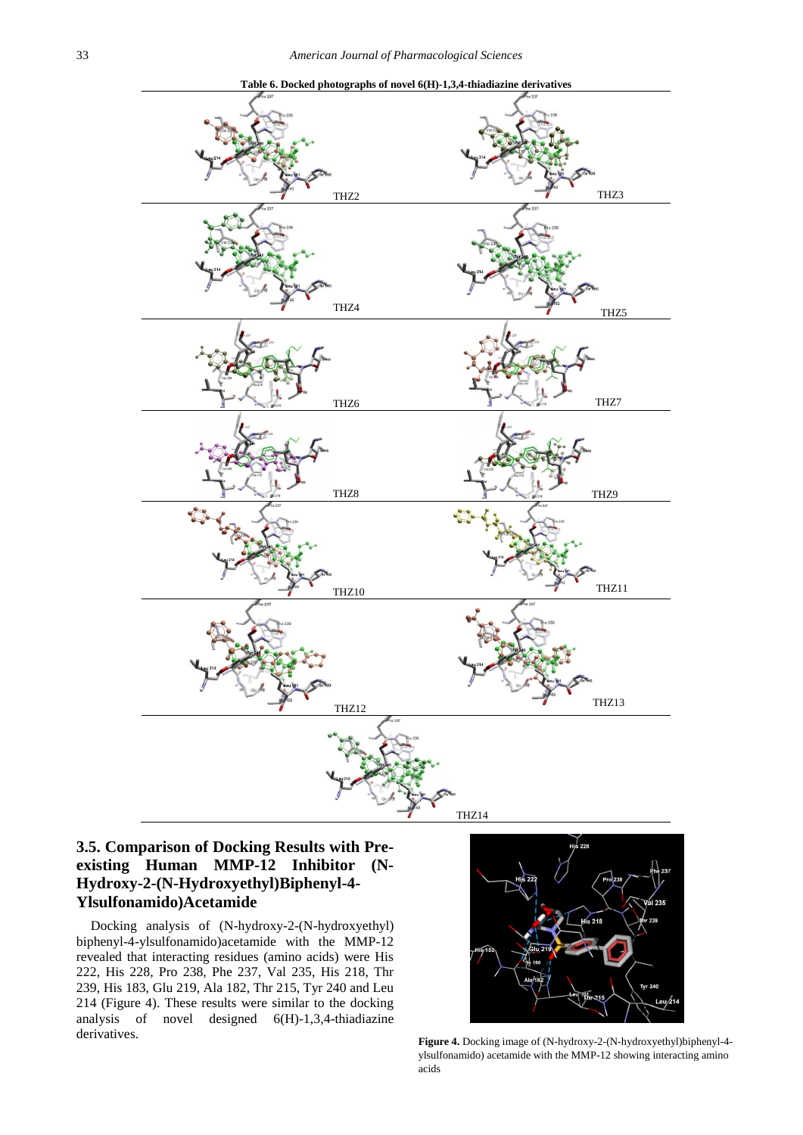<span id="page-4-0"></span>

**Table 6. Docked photographs of novel 6(H)-1,3,4-thiadiazine derivatives** 

# **3.5. Comparison of Docking Results with Preexisting Human MMP-12 Inhibitor (N-Hydroxy-2-(N-Hydroxyethyl)Biphenyl-4- Ylsulfonamido)Acetamide**

Docking analysis of (N-hydroxy-2-(N-hydroxyethyl) biphenyl-4-ylsulfonamido)acetamide with the MMP-12 revealed that interacting residues (amino acids) were His 222, His 228, Pro 238, Phe 237, Val 235, His 218, Thr 239, His 183, Glu 219, Ala 182, Thr 215, Tyr 240 and Leu 214 (Figure 4). These results were similar to the docking analysis of novel designed 6(H)-1,3,4-thiadiazine derivatives.



**Figure 4.** Docking image of (N-hydroxy-2-(N-hydroxyethyl)biphenyl-4 ylsulfonamido) acetamide with the MMP-12 showing interacting amino acids